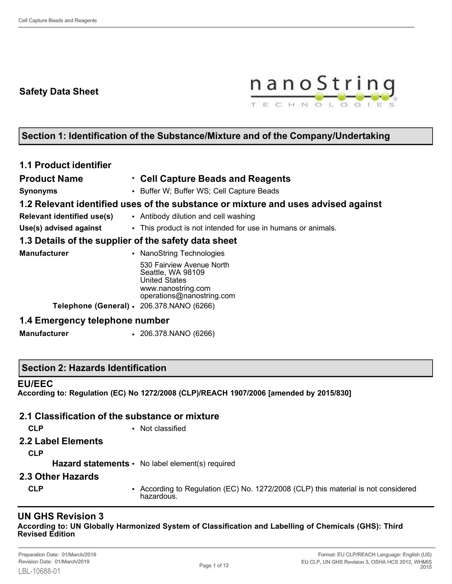# **Safety Data Sheet**



# **Section 1: Identification of the Substance/Mixture and of the Company/Undertaking**

| <b>1.1 Product identifier</b>                        |                                                                                                                           |
|------------------------------------------------------|---------------------------------------------------------------------------------------------------------------------------|
| <b>Product Name</b>                                  | • Cell Capture Beads and Reagents                                                                                         |
| <b>Synonyms</b>                                      | • Buffer W; Buffer WS; Cell Capture Beads                                                                                 |
|                                                      | 1.2 Relevant identified uses of the substance or mixture and uses advised against                                         |
| <b>Relevant identified use(s)</b>                    | • Antibody dilution and cell washing                                                                                      |
| Use(s) advised against                               | • This product is not intended for use in humans or animals.                                                              |
| 1.3 Details of the supplier of the safety data sheet |                                                                                                                           |
| <b>Manufacturer</b>                                  | • NanoString Technologies                                                                                                 |
|                                                      | 530 Fairview Avenue North<br>Seattle, WA 98109<br><b>United States</b><br>www.nanostring.com<br>operations@nanostring.com |
| Telephone (General) · 206.378.NANO (6266)            |                                                                                                                           |
| 1.4 Emergency telephone number                       |                                                                                                                           |
| <b>Manufacturer</b>                                  | $\cdot$ 206.378.NANO (6266)                                                                                               |

## **Section 2: Hazards Identification**

#### **EU/EEC**

**According to: Regulation (EC) No 1272/2008 (CLP)/REACH 1907/2006 [amended by 2015/830]**

#### **2.1 Classification of the substance or mixture**

- 
- **CLP** Not classified
- **2.2 Label Elements**

**CLP**

Hazard statements • No label element(s) required

- **2.3 Other Hazards**
	-
	- **CLP** According to Regulation (EC) No. 1272/2008 (CLP) this material is not considered hazardous.

## **UN GHS Revision 3**

**According to: UN Globally Harmonized System of Classification and Labelling of Chemicals (GHS): Third Revised Edition**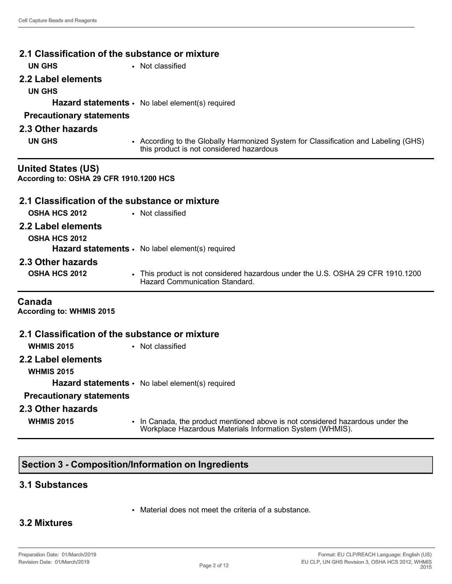| 2.1 Classification of the substance or mixture |                                                                                                                                             |  |  |
|------------------------------------------------|---------------------------------------------------------------------------------------------------------------------------------------------|--|--|
| <b>UN GHS</b>                                  | • Not classified                                                                                                                            |  |  |
| 2.2 Label elements                             |                                                                                                                                             |  |  |
| <b>UN GHS</b>                                  |                                                                                                                                             |  |  |
|                                                | <b>Hazard statements •</b> No label element(s) required                                                                                     |  |  |
| <b>Precautionary statements</b>                |                                                                                                                                             |  |  |
| 2.3 Other hazards                              |                                                                                                                                             |  |  |
| <b>UN GHS</b>                                  | • According to the Globally Harmonized System for Classification and Labeling (GHS)<br>this product is not considered hazardous             |  |  |
| <b>United States (US)</b>                      |                                                                                                                                             |  |  |
| According to: OSHA 29 CFR 1910.1200 HCS        |                                                                                                                                             |  |  |
| 2.1 Classification of the substance or mixture |                                                                                                                                             |  |  |
| <b>OSHA HCS 2012</b>                           | • Not classified                                                                                                                            |  |  |
| 2.2 Label elements                             |                                                                                                                                             |  |  |
| <b>OSHA HCS 2012</b>                           |                                                                                                                                             |  |  |
|                                                | Hazard statements · No label element(s) required                                                                                            |  |  |
| 2.3 Other hazards                              |                                                                                                                                             |  |  |
| <b>OSHA HCS 2012</b>                           | • This product is not considered hazardous under the U.S. OSHA 29 CFR 1910.1200<br><b>Hazard Communication Standard</b>                     |  |  |
| Canada<br><b>According to: WHMIS 2015</b>      |                                                                                                                                             |  |  |
| 2.1 Classification of the substance or mixture |                                                                                                                                             |  |  |
| <b>WHMIS 2015</b>                              | • Not classified                                                                                                                            |  |  |
| 2.2 Label elements<br><b>WHMIS 2015</b>        |                                                                                                                                             |  |  |
|                                                | <b>Hazard statements •</b> No label element(s) required                                                                                     |  |  |
| <b>Precautionary statements</b>                |                                                                                                                                             |  |  |
| 2.3 Other hazards                              |                                                                                                                                             |  |  |
| <b>WHMIS 2015</b>                              | • In Canada, the product mentioned above is not considered hazardous under the<br>Workplace Hazardous Materials Information System (WHMIS). |  |  |

# **Section 3 - Composition/Information on Ingredients**

## **3.1 Substances**

• Material does not meet the criteria of a substance.

## **3.2 Mixtures**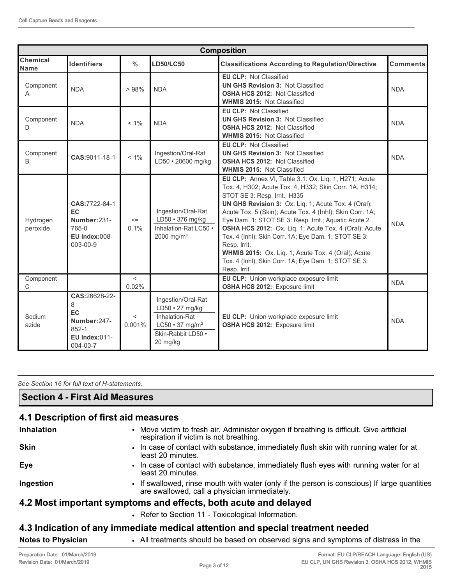| <b>Composition</b>             |                                                                                                                                                                                                                                                                                                                                                                                                                                                                                                                                                                                                                                                                                                                                                                                             |                   |                                                                                                                                                                      |                                                                                                                                                        |                 |
|--------------------------------|---------------------------------------------------------------------------------------------------------------------------------------------------------------------------------------------------------------------------------------------------------------------------------------------------------------------------------------------------------------------------------------------------------------------------------------------------------------------------------------------------------------------------------------------------------------------------------------------------------------------------------------------------------------------------------------------------------------------------------------------------------------------------------------------|-------------------|----------------------------------------------------------------------------------------------------------------------------------------------------------------------|--------------------------------------------------------------------------------------------------------------------------------------------------------|-----------------|
| <b>Chemical</b><br><b>Name</b> | <b>Identifiers</b>                                                                                                                                                                                                                                                                                                                                                                                                                                                                                                                                                                                                                                                                                                                                                                          | $\frac{0}{0}$     | <b>LD50/LC50</b>                                                                                                                                                     | <b>Classifications According to Regulation/Directive</b>                                                                                               | <b>Comments</b> |
| Component<br>A                 | <b>NDA</b>                                                                                                                                                                                                                                                                                                                                                                                                                                                                                                                                                                                                                                                                                                                                                                                  | >98%              | <b>NDA</b>                                                                                                                                                           | <b>EU CLP: Not Classified</b><br><b>UN GHS Revision 3: Not Classified</b><br><b>OSHA HCS 2012: Not Classified</b><br><b>WHMIS 2015: Not Classified</b> | <b>NDA</b>      |
| Component<br>D                 | <b>NDA</b>                                                                                                                                                                                                                                                                                                                                                                                                                                                                                                                                                                                                                                                                                                                                                                                  | $< 1\%$           | <b>EU CLP: Not Classified</b><br><b>UN GHS Revision 3: Not Classified</b><br><b>NDA</b><br><b>OSHA HCS 2012: Not Classified</b><br><b>WHMIS 2015: Not Classified</b> |                                                                                                                                                        | <b>NDA</b>      |
| Component<br><sub>B</sub>      | CAS:9011-18-1                                                                                                                                                                                                                                                                                                                                                                                                                                                                                                                                                                                                                                                                                                                                                                               | $< 1\%$           | Ingestion/Oral-Rat<br>LD50 · 20600 mg/kg                                                                                                                             | <b>EU CLP: Not Classified</b><br><b>UN GHS Revision 3: Not Classified</b><br><b>OSHA HCS 2012: Not Classified</b><br><b>WHMIS 2015: Not Classified</b> | <b>NDA</b>      |
| Hydrogen<br>peroxide           | EU CLP: Annex VI, Table 3.1: Ox. Liq. 1, H271; Acute<br>Tox. 4, H302; Acute Tox. 4, H332; Skin Corr. 1A, H314;<br>STOT SE 3: Resp. Irrit., H335<br>CAS:7722-84-1<br>UN GHS Revision 3: Ox. Liq. 1; Acute Tox. 4 (Oral);<br>Ingestion/Oral-Rat<br><b>EC</b><br>Acute Tox. 5 (Skin); Acute Tox. 4 (Inhl); Skin Corr. 1A;<br>LD50 · 376 mg/kg<br>Number:231-<br>Eye Dam. 1; STOT SE 3: Resp. Irrit.; Aquatic Acute 2<br>$\leq$<br>765-0<br>0.1%<br>Inhalation-Rat LC50 .<br>OSHA HCS 2012: Ox. Lig. 1; Acute Tox. 4 (Oral); Acute<br>EU Index:008-<br>Tox. 4 (Inhl); Skin Corr. 1A; Eye Dam. 1; STOT SE 3:<br>2000 mg/m <sup>3</sup><br>003-00-9<br>Resp. Irrit.<br>WHMIS 2015: Ox. Liq. 1; Acute Tox. 4 (Oral); Acute<br>Tox. 4 (Inhl); Skin Corr. 1A; Eye Dam. 1; STOT SE 3:<br>Resp. Irrit. |                   | <b>NDA</b>                                                                                                                                                           |                                                                                                                                                        |                 |
| Component<br>$\mathsf{C}$      |                                                                                                                                                                                                                                                                                                                                                                                                                                                                                                                                                                                                                                                                                                                                                                                             | $\,<\,$<br>0.02%  |                                                                                                                                                                      | EU CLP: Union workplace exposure limit<br>OSHA HCS 2012: Exposure limit                                                                                | <b>NDA</b>      |
| Sodium<br>azide                | CAS:26628-22-<br>8<br><b>EC</b><br>Number: 247-<br>$852 - 1$<br><b>EU Index:011-</b><br>004-00-7                                                                                                                                                                                                                                                                                                                                                                                                                                                                                                                                                                                                                                                                                            | $\,<\,$<br>0.001% | Ingestion/Oral-Rat<br>LD50 · 27 mg/kg<br>Inhalation-Rat<br>$LC50 \cdot 37$ mg/m <sup>3</sup><br>Skin-Rabbit LD50 ·<br>20 mg/kg                                       | EU CLP: Union workplace exposure limit<br>OSHA HCS 2012: Exposure limit                                                                                | <b>NDA</b>      |

*See Section 16 for full text of H-statements.* 

## **Section 4 - First Aid Measures**

## **4.1 Description of first aid measures**

| <b>Inhalation</b> | • Move victim to fresh air. Administer oxygen if breathing is difficult. Give artificial<br>respiration if victim is not breathing.          |
|-------------------|----------------------------------------------------------------------------------------------------------------------------------------------|
| <b>Skin</b>       | . In case of contact with substance, immediately flush skin with running water for at<br>least 20 minutes.                                   |
| Eye               | • In case of contact with substance, immediately flush eyes with running water for at<br>least 20 minutes.                                   |
| Ingestion         | • If swallowed, rinse mouth with water (only if the person is conscious) If large quantities<br>are swallowed, call a physician immediately. |
|                   | 4.2 Most important symptoms and effects, both acute and delayed                                                                              |
|                   | • Refer to Section 11 - Toxicological Information.                                                                                           |
|                   |                                                                                                                                              |

## **4.3 Indication of any immediate medical attention and special treatment needed**

**Notes to Physician** • All treatments should be based on observed signs and symptoms of distress in the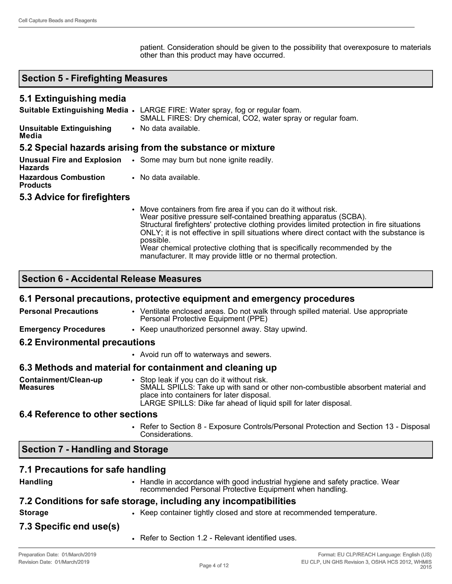patient. Consideration should be given to the possibility that overexposure to materials other than this product may have occurred.

## **Section 5 - Firefighting Measures**

### **5.1 Extinguishing media**

|                                                | Suitable Extinguishing Media • LARGE FIRE: Water spray, fog or regular foam.<br>SMALL FIRES: Dry chemical, CO2, water spray or regular foam.                                                                                                                                                                                                                                                                              |
|------------------------------------------------|---------------------------------------------------------------------------------------------------------------------------------------------------------------------------------------------------------------------------------------------------------------------------------------------------------------------------------------------------------------------------------------------------------------------------|
| <b>Unsuitable Extinguishing</b><br>Media       | • No data available.                                                                                                                                                                                                                                                                                                                                                                                                      |
|                                                | 5.2 Special hazards arising from the substance or mixture                                                                                                                                                                                                                                                                                                                                                                 |
| <b>Hazards</b>                                 | <b>Unusual Fire and Explosion •</b> Some may burn but none ignite readily.                                                                                                                                                                                                                                                                                                                                                |
| <b>Hazardous Combustion</b><br><b>Products</b> | • No data available.                                                                                                                                                                                                                                                                                                                                                                                                      |
| 5.3 Advice for firefighters                    |                                                                                                                                                                                                                                                                                                                                                                                                                           |
|                                                | • Move containers from fire area if you can do it without risk.<br>Wear positive pressure self-contained breathing apparatus (SCBA).<br>Structural firefighters' protective clothing provides limited protection in fire situations<br>ONLY; it is not effective in spill situations where direct contact with the substance is<br>possible.<br>Wear chemical protective clothing that is specifically recommended by the |

manufacturer. It may provide little or no thermal protection.

## **Section 6 - Accidental Release Measures**

#### **6.1 Personal precautions, protective equipment and emergency procedures**

| <b>Personal Precautions</b>             | • Ventilate enclosed areas. Do not walk through spilled material. Use appropriate<br>Personal Protective Equipment (PPE)                                                                                                                       |
|-----------------------------------------|------------------------------------------------------------------------------------------------------------------------------------------------------------------------------------------------------------------------------------------------|
| <b>Emergency Procedures</b>             | • Keep unauthorized personnel away. Stay upwind.                                                                                                                                                                                               |
| <b>6.2 Environmental precautions</b>    |                                                                                                                                                                                                                                                |
|                                         | • Avoid run off to waterways and sewers.                                                                                                                                                                                                       |
|                                         | 6.3 Methods and material for containment and cleaning up                                                                                                                                                                                       |
| Containment/Clean-up<br><b>Measures</b> | • Stop leak if you can do it without risk.<br>SMALL SPILLS: Take up with sand or other non-combustible absorbent material and<br>place into containers for later disposal.<br>LARGE SPILLS: Dike far ahead of liquid spill for later disposal. |
| <b>C</b> A Poforonce to other sections  |                                                                                                                                                                                                                                                |

#### **6.4 Reference to other sections**

• Refer to Section 8 - Exposure Controls/Personal Protection and Section 13 - Disposal Considerations.

#### **Section 7 - Handling and Storage**

#### **7.1 Precautions for safe handling**

**Handling** • Handle in accordance with good industrial hygiene and safety practice. Wear recommended Personal Protective Equipment when handling.

## **7.2 Conditions for safe storage, including any incompatibilities**

- 
- **Storage •** Keep container tightly closed and store at recommended temperature.

## **7.3 Specific end use(s)**

• Refer to Section 1.2 - Relevant identified uses.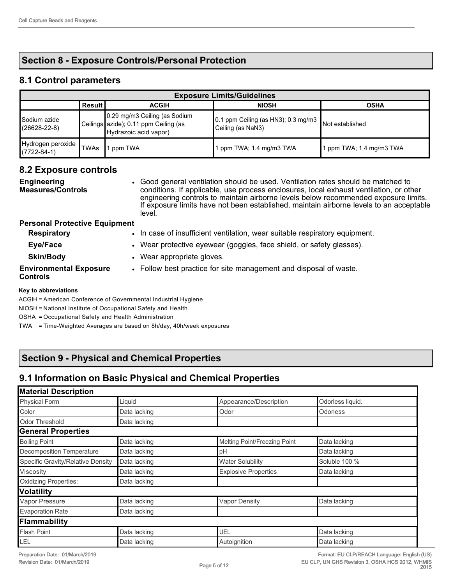# **Section 8 - Exposure Controls/Personal Protection**

## **8.1 Control parameters**

| <b>Exposure Limits/Guidelines</b>        |             |                                                                                                 |                                                             |                        |
|------------------------------------------|-------------|-------------------------------------------------------------------------------------------------|-------------------------------------------------------------|------------------------|
|                                          | ∣Result I   | <b>ACGIH</b>                                                                                    | <b>NIOSH</b>                                                | <b>OSHA</b>            |
| Sodium azide<br>$(26628 - 22 - 8)$       |             | 0.29 mg/m3 Ceiling (as Sodium<br>Ceilings azide); 0.11 ppm Ceiling (as<br>Hydrazoic acid vapor) | 10.1 ppm Ceiling (as HN3); 0.3 mg/m3  <br>Ceiling (as NaN3) | Not established        |
| Hydrogen peroxide  <br>$(7722 - 84 - 1)$ | <b>TWAs</b> | ppm TWA                                                                                         | ppm TWA; 1.4 mg/m3 TWA                                      | ppm TWA; 1.4 mg/m3 TWA |

#### **8.2 Exposure controls**

**Engineering Measures/Controls** • Good general ventilation should be used. Ventilation rates should be matched to conditions. If applicable, use process enclosures, local exhaust ventilation, or other engineering controls to maintain airborne levels below recommended exposure limits. If exposure limits have not been established, maintain airborne levels to an acceptable level.

#### **Personal Protective Equipment**

| <b>Respiratory</b>                               | In case of insufficient ventilation, wear suitable respiratory equipment. |
|--------------------------------------------------|---------------------------------------------------------------------------|
| Eye/Face                                         | • Wear protective eyewear (goggles, face shield, or safety glasses).      |
| <b>Skin/Body</b>                                 | • Wear appropriate gloves.                                                |
| <b>Environmental Exposure</b><br><b>Controls</b> | • Follow best practice for site management and disposal of waste.         |

#### **Key to abbreviations**

ACGIH = American Conference of Governmental Industrial Hygiene

NIOSH = National Institute of Occupational Safety and Health

OSHA = Occupational Safety and Health Administration

TWA = Time-Weighted Averages are based on 8h/day, 40h/week exposures

## **Section 9 - Physical and Chemical Properties**

## **9.1 Information on Basic Physical and Chemical Properties**

| <b>Material Description</b>       |              |                              |                  |  |
|-----------------------------------|--------------|------------------------------|------------------|--|
| <b>Physical Form</b>              | Liquid       | Appearance/Description       | Odorless liquid. |  |
| Color                             | Data lacking | Odor                         | <b>Odorless</b>  |  |
| Odor Threshold                    | Data lacking |                              |                  |  |
| <b>General Properties</b>         |              |                              |                  |  |
| <b>Boiling Point</b>              | Data lacking | Melting Point/Freezing Point | Data lacking     |  |
| Decomposition Temperature         | Data lacking | pH                           | Data lacking     |  |
| Specific Gravity/Relative Density | Data lacking | <b>Water Solubility</b>      | Soluble 100 %    |  |
| Viscosity                         | Data lacking | <b>Explosive Properties</b>  | Data lacking     |  |
| Oxidizing Properties:             | Data lacking |                              |                  |  |
| <b>Volatility</b>                 |              |                              |                  |  |
| Vapor Pressure                    | Data lacking | <b>Vapor Density</b>         | Data lacking     |  |
| <b>Evaporation Rate</b>           | Data lacking |                              |                  |  |
| Flammability                      |              |                              |                  |  |
| Flash Point                       | Data lacking | UEL                          | Data lacking     |  |
| LEL                               | Data lacking | Autoignition                 | Data lacking     |  |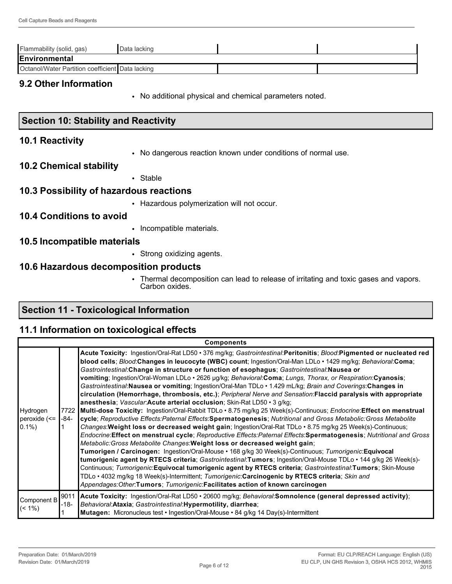| Flammability (solid, gas)                        | Data lacking |  |  |  |
|--------------------------------------------------|--------------|--|--|--|
| Environmental                                    |              |  |  |  |
| Octanol/Water Partition coefficient Data lacking |              |  |  |  |

#### **9.2 Other Information**

• No additional physical and chemical parameters noted.

## **Section 10: Stability and Reactivity**

#### **10.1 Reactivity**

• No dangerous reaction known under conditions of normal use.

#### **10.2 Chemical stability**

• Stable

#### **10.3 Possibility of hazardous reactions**

• Hazardous polymerization will not occur.

## **10.4 Conditions to avoid**

• Incompatible materials.

#### **10.5 Incompatible materials**

• Strong oxidizing agents.

#### **10.6 Hazardous decomposition products**

• Thermal decomposition can lead to release of irritating and toxic gases and vapors. Carbon oxides.

# **Section 11 - Toxicological Information**

## **11.1 Information on toxicological effects**

| <b>Components</b>                     |              |                                                                                                                                                                                                                                                                                                                                                                                                                                                                                                                                                                                                                                                                                                                                                                                                                                                                                                                                                                                                                                                                                                                                                                                                                                                                                                                                                                                                                                                                                                                                                                                                                                                                                                                                                                                                                                                     |  |  |
|---------------------------------------|--------------|-----------------------------------------------------------------------------------------------------------------------------------------------------------------------------------------------------------------------------------------------------------------------------------------------------------------------------------------------------------------------------------------------------------------------------------------------------------------------------------------------------------------------------------------------------------------------------------------------------------------------------------------------------------------------------------------------------------------------------------------------------------------------------------------------------------------------------------------------------------------------------------------------------------------------------------------------------------------------------------------------------------------------------------------------------------------------------------------------------------------------------------------------------------------------------------------------------------------------------------------------------------------------------------------------------------------------------------------------------------------------------------------------------------------------------------------------------------------------------------------------------------------------------------------------------------------------------------------------------------------------------------------------------------------------------------------------------------------------------------------------------------------------------------------------------------------------------------------------------|--|--|
| Hydrogen<br>peroxide (<=<br>$ 0.1\% $ | 7722<br>-84- | Acute Toxicity: Ingestion/Oral-Rat LD50 · 376 mg/kg; Gastrointestinal:Peritonitis; Blood:Pigmented or nucleated red<br>blood cells; Blood:Changes in leucocyte (WBC) count; Ingestion/Oral-Man LDLo · 1429 mg/kg; Behavioral:Coma;<br>Gastrointestinal: Change in structure or function of esophagus; Gastrointestinal: Nausea or<br>vomiting; Ingestion/Oral-Woman LDLo · 2626 µg/kg; Behavioral:Coma; Lungs, Thorax, or Respiration:Cyanosis;<br>Gastrointestinal: Nausea or vomiting; Ingestion/Oral-Man TDLo · 1.429 mL/kg; Brain and Coverings: Changes in<br>circulation (Hemorrhage, thrombosis, etc.); Peripheral Nerve and Sensation: Flaccid paralysis with appropriate<br>anesthesia; Vascular: Acute arterial occlusion; Skin-Rat LD50 · 3 g/kg;<br>Multi-dose Toxicity: Ingestion/Oral-Rabbit TDLo . 8.75 mg/kg 25 Week(s)-Continuous; Endocrine: Effect on menstrual<br>cycle; Reproductive Effects:Paternal Effects:Spermatogenesis; Nutritional and Gross Metabolic:Gross Metabolite<br>Changes: Weight loss or decreased weight gain; Ingestion/Oral-Rat TDLo · 8.75 mg/kg 25 Week(s)-Continuous;<br>Endocrine:Effect on menstrual cycle; Reproductive Effects:Paternal Effects:Spermatogenesis; Nutritional and Gross<br>Metabolic: Gross Metabolite Changes: Weight loss or decreased weight gain;<br>Tumorigen / Carcinogen: Ingestion/Oral-Mouse • 168 g/kg 30 Week(s)-Continuous; Tumorigenic: Equivocal<br>tumorigenic agent by RTECS criteria; Gastrointestinal:Tumors; Ingestion/Oral-Mouse TDLo · 144 g/kg 26 Week(s)-<br>Continuous; Tumorigenic: Equivocal tumorigenic agent by RTECS criteria; Gastrointestinal: Tumors; Skin-Mouse<br>TDLo • 4032 mg/kg 18 Week(s)-Intermittent; Tumorigenic: Carcinogenic by RTECS criteria; Skin and<br>Appendages:Other:Tumors; Tumorigenic:Facilitates action of known carcinogen |  |  |
| Component B<br>$\leq (1\%)$           | -18-         | 9011 Acute Toxicity: Ingestion/Oral-Rat LD50 · 20600 mg/kg; Behavioral:Somnolence (general depressed activity);<br>Behavioral: Ataxia; Gastrointestinal: Hypermotility, diarrhea;<br>Mutagen: Micronucleus test • Ingestion/Oral-Mouse • 84 g/kg 14 Day(s)-Intermittent                                                                                                                                                                                                                                                                                                                                                                                                                                                                                                                                                                                                                                                                                                                                                                                                                                                                                                                                                                                                                                                                                                                                                                                                                                                                                                                                                                                                                                                                                                                                                                             |  |  |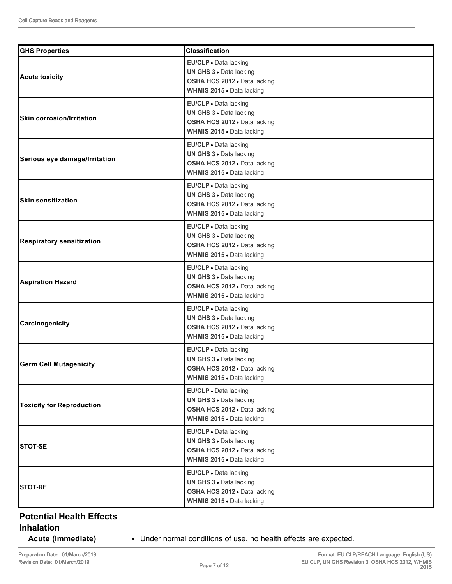| <b>GHS Properties</b>            | <b>Classification</b>                                                                                         |
|----------------------------------|---------------------------------------------------------------------------------------------------------------|
| <b>Acute toxicity</b>            | EU/CLP · Data lacking<br>UN GHS 3 . Data lacking<br>OSHA HCS 2012 . Data lacking<br>WHMIS 2015 . Data lacking |
| <b>Skin corrosion/Irritation</b> | EU/CLP · Data lacking<br>UN GHS 3 . Data lacking<br>OSHA HCS 2012 . Data lacking<br>WHMIS 2015 . Data lacking |
| Serious eye damage/Irritation    | EU/CLP · Data lacking<br>UN GHS 3 . Data lacking<br>OSHA HCS 2012 . Data lacking<br>WHMIS 2015 . Data lacking |
| <b>Skin sensitization</b>        | EU/CLP · Data lacking<br>UN GHS 3 . Data lacking<br>OSHA HCS 2012 . Data lacking<br>WHMIS 2015 . Data lacking |
| <b>Respiratory sensitization</b> | EU/CLP · Data lacking<br>UN GHS 3 . Data lacking<br>OSHA HCS 2012 . Data lacking<br>WHMIS 2015 . Data lacking |
| <b>Aspiration Hazard</b>         | EU/CLP · Data lacking<br>UN GHS 3 . Data lacking<br>OSHA HCS 2012 . Data lacking<br>WHMIS 2015 . Data lacking |
| Carcinogenicity                  | EU/CLP · Data lacking<br>UN GHS 3 . Data lacking<br>OSHA HCS 2012 . Data lacking<br>WHMIS 2015 . Data lacking |
| <b>Germ Cell Mutagenicity</b>    | EU/CLP · Data lacking<br>UN GHS 3 . Data lacking<br>OSHA HCS 2012 . Data lacking<br>WHMIS 2015 . Data lacking |
| <b>Toxicity for Reproduction</b> | EU/CLP · Data lacking<br>UN GHS 3 . Data lacking<br>OSHA HCS 2012 . Data lacking<br>WHMIS 2015 . Data lacking |
| <b>STOT-SE</b>                   | EU/CLP . Data lacking<br>UN GHS 3 . Data lacking<br>OSHA HCS 2012 . Data lacking<br>WHMIS 2015 . Data lacking |
| <b>STOT-RE</b>                   | EU/CLP · Data lacking<br>UN GHS 3 · Data lacking<br>OSHA HCS 2012 . Data lacking<br>WHMIS 2015 . Data lacking |

# **Potential Health Effects**

## **Inhalation**

**Acute (Immediate)** • Under normal conditions of use, no health effects are expected.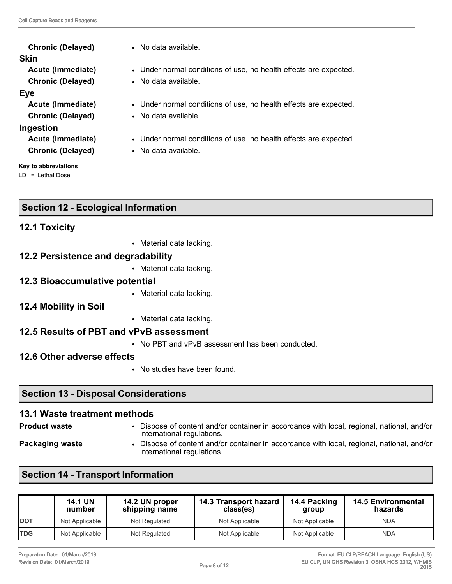| <b>Chronic (Delayed)</b> | • No data available.                                              |
|--------------------------|-------------------------------------------------------------------|
| <b>Skin</b>              |                                                                   |
| Acute (Immediate)        | • Under normal conditions of use, no health effects are expected. |
| <b>Chronic (Delayed)</b> | • No data available.                                              |
| <b>Eye</b>               |                                                                   |
| Acute (Immediate)        | • Under normal conditions of use, no health effects are expected. |
| <b>Chronic (Delayed)</b> | • No data available.                                              |
| Ingestion                |                                                                   |
| Acute (Immediate)        | • Under normal conditions of use, no health effects are expected. |
| <b>Chronic (Delayed)</b> | • No data available.                                              |
|                          |                                                                   |

**Key to abbreviations** LD = Lethal Dose

# **Section 12 - Ecological Information**

## **12.1 Toxicity**

• Material data lacking.

## **12.2 Persistence and degradability**

• Material data lacking.

## **12.3 Bioaccumulative potential**

- Material data lacking.
- **12.4 Mobility in Soil**
- Material data lacking.

## **12.5 Results of PBT and vPvB assessment**

- No PBT and vPvB assessment has been conducted.
- **12.6 Other adverse effects**
	- No studies have been found.

# **Section 13 - Disposal Considerations**

# **13.1 Waste treatment methods**

- 
- **Product waste** Dispose of content and/or container in accordance with local, regional, national, and/or international regulations.
- 
- **Packaging waste Dispose of content and/or container in accordance with local, regional, national, and/or** international regulations.

# **Section 14 - Transport Information**

|              | <b>14.1 UN</b><br>number | 14.2 UN proper<br>shipping name | 14.3 Transport hazard<br>class(es) | 14.4 Packing<br>aroup | <b>14.5 Environmental</b><br>hazards |
|--------------|--------------------------|---------------------------------|------------------------------------|-----------------------|--------------------------------------|
| <b>I</b> DOT | Not Applicable           | Not Regulated                   | Not Applicable                     | Not Applicable        | <b>NDA</b>                           |
| <b>TDG</b>   | Not Applicable           | Not Regulated                   | Not Applicable                     | Not Applicable        | <b>NDA</b>                           |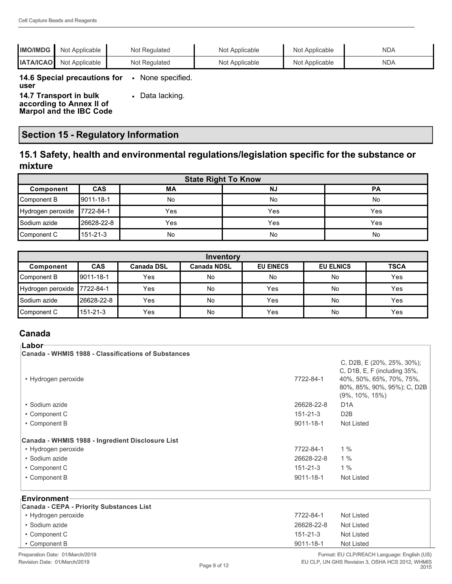| <b>IMO/IMDG</b>  | Not Applicable                                                                       | Not Regulated   | Not Applicable | Not Applicable | <b>NDA</b> |
|------------------|--------------------------------------------------------------------------------------|-----------------|----------------|----------------|------------|
| <b>IATA/ICAO</b> | Not Applicable                                                                       | Not Regulated   | Not Applicable | Not Applicable | <b>NDA</b> |
| user             | 14.6 Special precautions for                                                         | None specified. |                |                |            |
|                  | 14.7 Transport in bulk<br>according to Annex II of<br><b>Marpol and the IBC Code</b> | Data lacking.   |                |                |            |

# **Section 15 - Regulatory Information**

## **15.1 Safety, health and environmental regulations/legislation specific for the substance or mixture**

| <b>State Right To Know</b> |            |     |           |           |
|----------------------------|------------|-----|-----------|-----------|
| Component                  | CAS        | МA  | <b>NJ</b> | <b>PA</b> |
| Component B                | 19011-18-1 | No  | No        | No        |
| Hydrogen peroxide          | 17722-84-1 | Yes | Yes       | Yes       |
| <b>S</b> odium azide       | 26628-22-8 | Yes | Yes       | Yes       |
| Component C                | 151-21-3   | No  | No        | No        |

| Inventory                   |            |                   |                    |                  |                  |             |
|-----------------------------|------------|-------------------|--------------------|------------------|------------------|-------------|
| Component                   | <b>CAS</b> | <b>Canada DSL</b> | <b>Canada NDSL</b> | <b>EU EINECS</b> | <b>EU ELNICS</b> | <b>TSCA</b> |
| Component B                 | 9011-18-1  | Yes               | No                 | No               | No               | Yes         |
| Hydrogen peroxide 7722-84-1 |            | Yes               | <b>No</b>          | Yes              | No               | Yes         |
| l Sodium azide              | 26628-22-8 | Yes               | <b>No</b>          | Yes              | No               | Yes         |
| Component C                 | 151-21-3   | Yes               | No                 | Yes              | No               | Yes         |

## **Canada**

| ⊺Labor <sup>.</sup>                                      |                |                                                                                                                                                               |
|----------------------------------------------------------|----------------|---------------------------------------------------------------------------------------------------------------------------------------------------------------|
| Canada - WHMIS 1988 - Classifications of Substances      |                |                                                                                                                                                               |
| • Hydrogen peroxide                                      | 7722-84-1      | C, D2B, E (20%, 25%, 30%);<br>C, D <sub>1</sub> B, E, F (including $35\%$ ,<br>40%, 50%, 65%, 70%, 75%,<br>80%, 85%, 90%, 95%); C, D2B<br>$(9\%, 10\%, 15\%)$ |
| • Sodium azide                                           | 26628-22-8     | D <sub>1</sub> A                                                                                                                                              |
| • Component C                                            | $151 - 21 - 3$ | D <sub>2</sub> B                                                                                                                                              |
| • Component B                                            | 9011-18-1      | Not Listed                                                                                                                                                    |
| Canada - WHMIS 1988 - Ingredient Disclosure List         |                |                                                                                                                                                               |
| • Hydrogen peroxide                                      | 7722-84-1      | 1%                                                                                                                                                            |
| • Sodium azide                                           | 26628-22-8     | $1\%$                                                                                                                                                         |
| • Component C                                            | $151 - 21 - 3$ | $1\%$                                                                                                                                                         |
| • Component B                                            | 9011-18-1      | Not Listed                                                                                                                                                    |
| ⊦Environment<br>Canada - CEPA - Priority Substances List |                |                                                                                                                                                               |
| • Hydrogen peroxide                                      | 7722-84-1      | Not Listed                                                                                                                                                    |
| • Sodium azide                                           | 26628-22-8     | Not Listed                                                                                                                                                    |

• Component B 9011-18-1 Not Listed Preparation Date: 01/March/2019 Revision Date: 01/March/2019

• Component C 151-21-3 Not Listed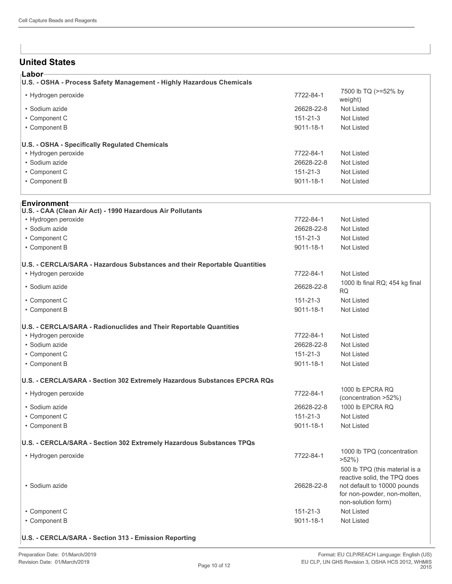## **United States**

| ⊦Labor                                                                                      |                 |                                 |
|---------------------------------------------------------------------------------------------|-----------------|---------------------------------|
| U.S. - OSHA - Process Safety Management - Highly Hazardous Chemicals<br>• Hydrogen peroxide | 7722-84-1       | 7500 lb TQ (>=52% by<br>weight) |
| • Sodium azide                                                                              | 26628-22-8      | Not Listed                      |
| • Component C                                                                               | $151 - 21 - 3$  | Not Listed                      |
| • Component B                                                                               | $9011 - 18 - 1$ | Not Listed                      |
| U.S. - OSHA - Specifically Regulated Chemicals                                              |                 |                                 |
| • Hydrogen peroxide                                                                         | 7722-84-1       | Not Listed                      |
| • Sodium azide                                                                              | 26628-22-8      | Not Listed                      |
| • Component C                                                                               | $151 - 21 - 3$  | Not Listed                      |
| • Component B                                                                               | $9011 - 18 - 1$ | Not Listed                      |
|                                                                                             |                 |                                 |

| Environment                                                               |                |                                                                                                                                                    |
|---------------------------------------------------------------------------|----------------|----------------------------------------------------------------------------------------------------------------------------------------------------|
| U.S. - CAA (Clean Air Act) - 1990 Hazardous Air Pollutants                |                |                                                                                                                                                    |
| • Hydrogen peroxide                                                       | 7722-84-1      | Not Listed                                                                                                                                         |
| · Sodium azide                                                            | 26628-22-8     | <b>Not Listed</b>                                                                                                                                  |
| • Component C                                                             | $151 - 21 - 3$ | <b>Not Listed</b>                                                                                                                                  |
| • Component B                                                             | 9011-18-1      | <b>Not Listed</b>                                                                                                                                  |
| U.S. - CERCLA/SARA - Hazardous Substances and their Reportable Quantities |                |                                                                                                                                                    |
| • Hydrogen peroxide                                                       | 7722-84-1      | <b>Not Listed</b>                                                                                                                                  |
| · Sodium azide                                                            | 26628-22-8     | 1000 lb final RQ; 454 kg final<br><b>RQ</b>                                                                                                        |
| • Component C                                                             | $151 - 21 - 3$ | <b>Not Listed</b>                                                                                                                                  |
| • Component B                                                             | 9011-18-1      | <b>Not Listed</b>                                                                                                                                  |
| U.S. - CERCLA/SARA - Radionuclides and Their Reportable Quantities        |                |                                                                                                                                                    |
| • Hydrogen peroxide                                                       | 7722-84-1      | <b>Not Listed</b>                                                                                                                                  |
| • Sodium azide                                                            | 26628-22-8     | <b>Not Listed</b>                                                                                                                                  |
| • Component C                                                             | $151 - 21 - 3$ | Not Listed                                                                                                                                         |
| • Component B                                                             | 9011-18-1      | Not Listed                                                                                                                                         |
| U.S. - CERCLA/SARA - Section 302 Extremely Hazardous Substances EPCRA RQs |                |                                                                                                                                                    |
| • Hydrogen peroxide                                                       | 7722-84-1      | 1000 lb EPCRA RQ<br>(concentration >52%)                                                                                                           |
| • Sodium azide                                                            | 26628-22-8     | 1000 lb EPCRA RQ                                                                                                                                   |
| • Component C                                                             | $151 - 21 - 3$ | <b>Not Listed</b>                                                                                                                                  |
| • Component B                                                             | 9011-18-1      | <b>Not Listed</b>                                                                                                                                  |
| U.S. - CERCLA/SARA - Section 302 Extremely Hazardous Substances TPQs      |                |                                                                                                                                                    |
| • Hydrogen peroxide                                                       | 7722-84-1      | 1000 lb TPQ (concentration<br>$>52\%$ )                                                                                                            |
| · Sodium azide                                                            | 26628-22-8     | 500 lb TPQ (this material is a<br>reactive solid, the TPQ does<br>not default to 10000 pounds<br>for non-powder, non-molten,<br>non-solution form) |
| • Component C                                                             | $151 - 21 - 3$ | <b>Not Listed</b>                                                                                                                                  |
| • Component B                                                             | 9011-18-1      | Not Listed                                                                                                                                         |
|                                                                           |                |                                                                                                                                                    |

#### **U.S. - CERCLA/SARA - Section 313 - Emission Reporting**

 $\overline{a}$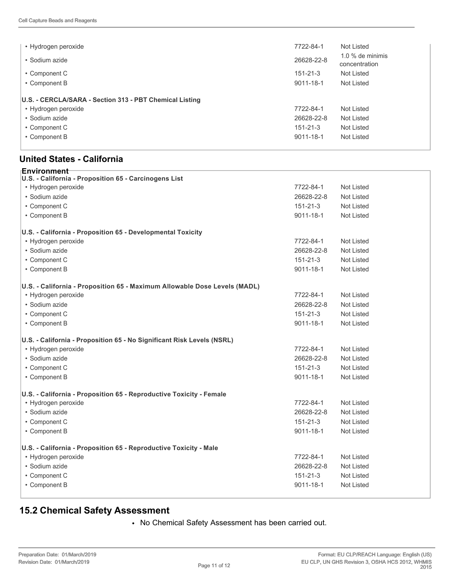| • Hydrogen peroxide                                     | 7722-84-1       | Not Listed                        |
|---------------------------------------------------------|-----------------|-----------------------------------|
| • Sodium azide                                          | 26628-22-8      | 1.0 % de minimis<br>concentration |
| • Component C                                           | $151 - 21 - 3$  | Not Listed                        |
| • Component B                                           | 9011-18-1       | Not Listed                        |
| U.S. - CERCLA/SARA - Section 313 - PBT Chemical Listing |                 |                                   |
| • Hydrogen peroxide                                     | 7722-84-1       | Not Listed                        |
| • Sodium azide                                          | 26628-22-8      | Not Listed                        |
| • Component C                                           | $151 - 21 - 3$  | Not Listed                        |
| • Component B                                           | $9011 - 18 - 1$ | Not Listed                        |

## **United States - California**

| Environment⊤                                                              |                 |                   |
|---------------------------------------------------------------------------|-----------------|-------------------|
| U.S. - California - Proposition 65 - Carcinogens List                     |                 |                   |
| • Hydrogen peroxide                                                       | 7722-84-1       | Not Listed        |
| · Sodium azide                                                            | 26628-22-8      | <b>Not Listed</b> |
| • Component C                                                             | $151 - 21 - 3$  | <b>Not Listed</b> |
| • Component B                                                             | $9011 - 18 - 1$ | <b>Not Listed</b> |
| U.S. - California - Proposition 65 - Developmental Toxicity               |                 |                   |
| • Hydrogen peroxide                                                       | 7722-84-1       | <b>Not Listed</b> |
| · Sodium azide                                                            | 26628-22-8      | <b>Not Listed</b> |
| • Component C                                                             | 151-21-3        | <b>Not Listed</b> |
| • Component B                                                             | $9011 - 18 - 1$ | Not Listed        |
| U.S. - California - Proposition 65 - Maximum Allowable Dose Levels (MADL) |                 |                   |
| • Hydrogen peroxide                                                       | 7722-84-1       | <b>Not Listed</b> |
| · Sodium azide                                                            | 26628-22-8      | <b>Not Listed</b> |
| • Component C                                                             | $151 - 21 - 3$  | <b>Not Listed</b> |
| • Component B                                                             | $9011 - 18 - 1$ | <b>Not Listed</b> |
| U.S. - California - Proposition 65 - No Significant Risk Levels (NSRL)    |                 |                   |
| • Hydrogen peroxide                                                       | 7722-84-1       | <b>Not Listed</b> |
| · Sodium azide                                                            | 26628-22-8      | <b>Not Listed</b> |
| • Component C                                                             | $151 - 21 - 3$  | <b>Not Listed</b> |
| • Component B                                                             | $9011 - 18 - 1$ | <b>Not Listed</b> |
| U.S. - California - Proposition 65 - Reproductive Toxicity - Female       |                 |                   |
| • Hydrogen peroxide                                                       | 7722-84-1       | <b>Not Listed</b> |
| · Sodium azide                                                            | 26628-22-8      | <b>Not Listed</b> |
| • Component C                                                             | $151 - 21 - 3$  | <b>Not Listed</b> |
| • Component B                                                             | $9011 - 18 - 1$ | <b>Not Listed</b> |
| U.S. - California - Proposition 65 - Reproductive Toxicity - Male         |                 |                   |
| • Hydrogen peroxide                                                       | 7722-84-1       | <b>Not Listed</b> |
| · Sodium azide                                                            | 26628-22-8      | <b>Not Listed</b> |
| • Component C                                                             | $151 - 21 - 3$  | <b>Not Listed</b> |
| • Component B                                                             | $9011 - 18 - 1$ | <b>Not Listed</b> |
|                                                                           |                 |                   |

# **15.2 Chemical Safety Assessment**

• No Chemical Safety Assessment has been carried out.